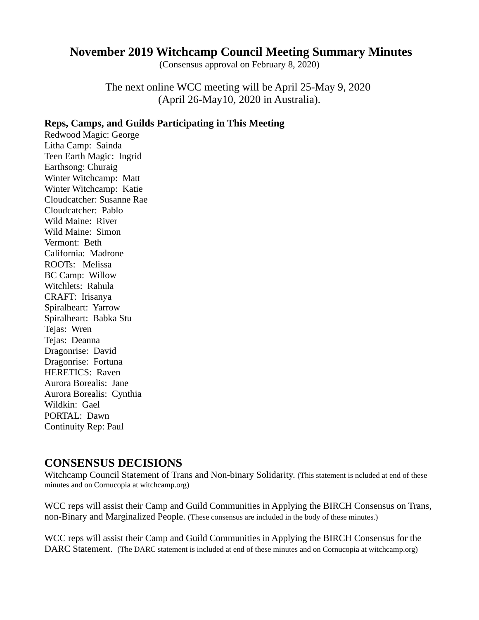#### **November 2019 Witchcamp Council Meeting Summary Minutes**

(Consensus approval on February 8, 2020)

The next online WCC meeting will be April 25-May 9, 2020 (April 26-May10, 2020 in Australia).

#### **Reps, Camps, and Guilds Participating in This Meeting**

Redwood Magic: George Litha Camp: Sainda Teen Earth Magic: Ingrid Earthsong: Churaig Winter Witchcamp: Matt Winter Witchcamp: Katie Cloudcatcher: Susanne Rae Cloudcatcher: Pablo Wild Maine: River Wild Maine: Simon Vermont: Beth California: Madrone ROOTs: Melissa BC Camp: Willow Witchlets: Rahula CRAFT: Irisanya Spiralheart: Yarrow Spiralheart: Babka Stu Tejas: Wren Tejas: Deanna Dragonrise: David Dragonrise: Fortuna HERETICS: Raven Aurora Borealis: Jane Aurora Borealis: Cynthia Wildkin: Gael PORTAL: Dawn Continuity Rep: Paul

#### **CONSENSUS DECISIONS**

Witchcamp Council Statement of Trans and Non-binary Solidarity. (This statement is ncluded at end of these minutes and on Cornucopia at witchcamp.org)

WCC reps will assist their Camp and Guild Communities in Applying the BIRCH Consensus on Trans, non-Binary and Marginalized People. (These consensus are included in the body of these minutes.)

WCC reps will assist their Camp and Guild Communities in Applying the BIRCH Consensus for the DARC Statement. (The DARC statement is included at end of these minutes and on Cornucopia at witchcamp.org)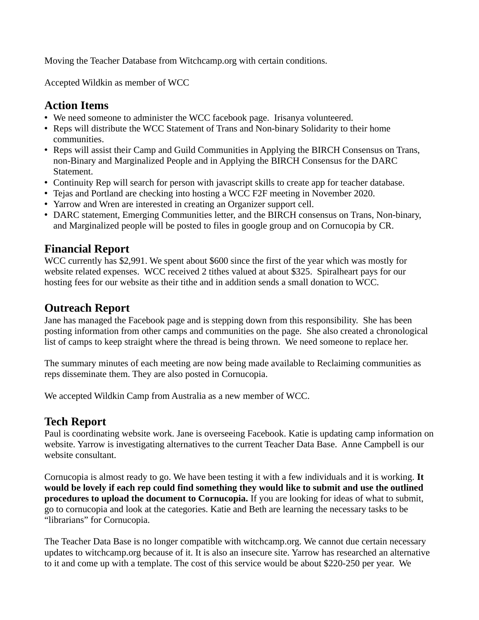Moving the Teacher Database from Witchcamp.org with certain conditions.

Accepted Wildkin as member of WCC

#### **Action Items**

- We need someone to administer the WCC facebook page. Irisanya volunteered.
- Reps will distribute the WCC Statement of Trans and Non-binary Solidarity to their home communities.
- Reps will assist their Camp and Guild Communities in Applying the BIRCH Consensus on Trans, non-Binary and Marginalized People and in Applying the BIRCH Consensus for the DARC Statement.
- Continuity Rep will search for person with javascript skills to create app for teacher database.
- Tejas and Portland are checking into hosting a WCC F2F meeting in November 2020.
- Yarrow and Wren are interested in creating an Organizer support cell.
- DARC statement, Emerging Communities letter, and the BIRCH consensus on Trans, Non-binary, and Marginalized people will be posted to files in google group and on Cornucopia by CR.

## **Financial Report**

WCC currently has \$2,991. We spent about \$600 since the first of the year which was mostly for website related expenses. WCC received 2 tithes valued at about \$325. Spiralheart pays for our hosting fees for our website as their tithe and in addition sends a small donation to WCC.

## **Outreach Report**

Jane has managed the Facebook page and is stepping down from this responsibility. She has been posting information from other camps and communities on the page. She also created a chronological list of camps to keep straight where the thread is being thrown. We need someone to replace her.

The summary minutes of each meeting are now being made available to Reclaiming communities as reps disseminate them. They are also posted in Cornucopia.

We accepted Wildkin Camp from Australia as a new member of WCC.

#### **Tech Report**

Paul is coordinating website work. Jane is overseeing Facebook. Katie is updating camp information on website. Yarrow is investigating alternatives to the current Teacher Data Base. Anne Campbell is our website consultant.

Cornucopia is almost ready to go. We have been testing it with a few individuals and it is working. **It would be lovely if each rep could find something they would like to submit and use the outlined procedures to upload the document to Cornucopia.** If you are looking for ideas of what to submit, go to cornucopia and look at the categories. Katie and Beth are learning the necessary tasks to be "librarians" for Cornucopia.

The Teacher Data Base is no longer compatible with witchcamp.org. We cannot due certain necessary updates to witchcamp.org because of it. It is also an insecure site. Yarrow has researched an alternative to it and come up with a template. The cost of this service would be about \$220-250 per year. We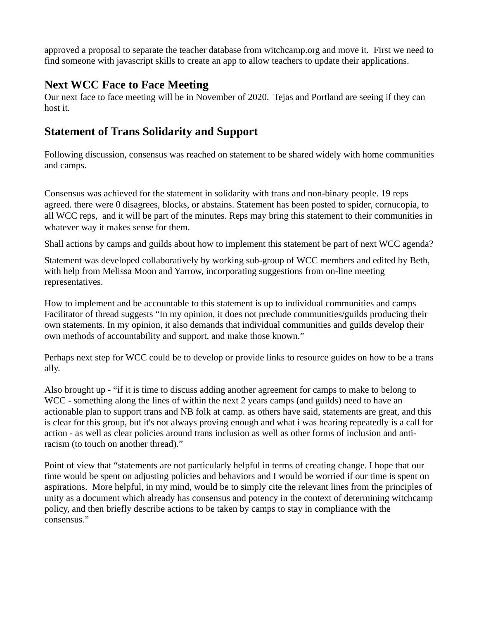approved a proposal to separate the teacher database from witchcamp.org and move it. First we need to find someone with javascript skills to create an app to allow teachers to update their applications.

#### **Next WCC Face to Face Meeting**

Our next face to face meeting will be in November of 2020. Tejas and Portland are seeing if they can host it.

### **Statement of Trans Solidarity and Support**

Following discussion, consensus was reached on statement to be shared widely with home communities and camps.

Consensus was achieved for the statement in solidarity with trans and non-binary people. 19 reps agreed. there were 0 disagrees, blocks, or abstains. Statement has been posted to spider, cornucopia, to all WCC reps, and it will be part of the minutes. Reps may bring this statement to their communities in whatever way it makes sense for them.

Shall actions by camps and guilds about how to implement this statement be part of next WCC agenda?

Statement was developed collaboratively by working sub-group of WCC members and edited by Beth, with help from Melissa Moon and Yarrow, incorporating suggestions from on-line meeting representatives.

How to implement and be accountable to this statement is up to individual communities and camps Facilitator of thread suggests "In my opinion, it does not preclude communities/guilds producing their own statements. In my opinion, it also demands that individual communities and guilds develop their own methods of accountability and support, and make those known."

Perhaps next step for WCC could be to develop or provide links to resource guides on how to be a trans ally.

Also brought up - "if it is time to discuss adding another agreement for camps to make to belong to WCC - something along the lines of within the next 2 years camps (and guilds) need to have an actionable plan to support trans and NB folk at camp. as others have said, statements are great, and this is clear for this group, but it's not always proving enough and what i was hearing repeatedly is a call for action - as well as clear policies around trans inclusion as well as other forms of inclusion and antiracism (to touch on another thread)."

Point of view that "statements are not particularly helpful in terms of creating change. I hope that our time would be spent on adjusting policies and behaviors and I would be worried if our time is spent on aspirations. More helpful, in my mind, would be to simply cite the relevant lines from the principles of unity as a document which already has consensus and potency in the context of determining witchcamp policy, and then briefly describe actions to be taken by camps to stay in compliance with the consensus."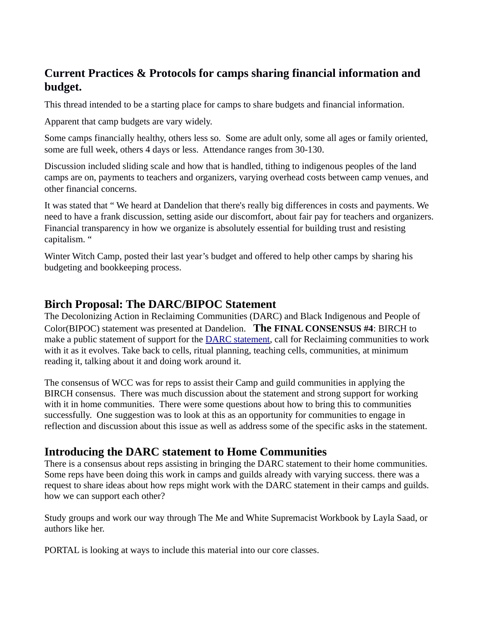# **Current Practices & Protocols for camps sharing financial information and budget.**

This thread intended to be a starting place for camps to share budgets and financial information.

Apparent that camp budgets are vary widely.

Some camps financially healthy, others less so. Some are adult only, some all ages or family oriented, some are full week, others 4 days or less. Attendance ranges from 30-130.

Discussion included sliding scale and how that is handled, tithing to indigenous peoples of the land camps are on, payments to teachers and organizers, varying overhead costs between camp venues, and other financial concerns.

It was stated that " We heard at Dandelion that there's really big differences in costs and payments. We need to have a frank discussion, setting aside our discomfort, about fair pay for teachers and organizers. Financial transparency in how we organize is absolutely essential for building trust and resisting capitalism. "

Winter Witch Camp, posted their last year's budget and offered to help other camps by sharing his budgeting and bookkeeping process.

## **Birch Proposal: The DARC/BIPOC Statement**

The Decolonizing Action in Reclaiming Communities (DARC) and Black Indigenous and People of Color(BIPOC) statement was presented at Dandelion. **The FINAL CONSENSUS #4**: BIRCH to make a public statement of support for the **DARC** statement, call for Reclaiming communities to work with it as it evolves. Take back to cells, ritual planning, teaching cells, communities, at minimum reading it, talking about it and doing work around it.

The consensus of WCC was for reps to assist their Camp and guild communities in applying the BIRCH consensus. There was much discussion about the statement and strong support for working with it in home communities. There were some questions about how to bring this to communities successfully. One suggestion was to look at this as an opportunity for communities to engage in reflection and discussion about this issue as well as address some of the specific asks in the statement.

#### **Introducing the DARC statement to Home Communities**

There is a consensus about reps assisting in bringing the DARC statement to their home communities. Some reps have been doing this work in camps and guilds already with varying success. there was a request to share ideas about how reps might work with the DARC statement in their camps and guilds. how we can support each other?

Study groups and work our way through The Me and White Supremacist Workbook by Layla Saad, or authors like her.

PORTAL is looking at ways to include this material into our core classes.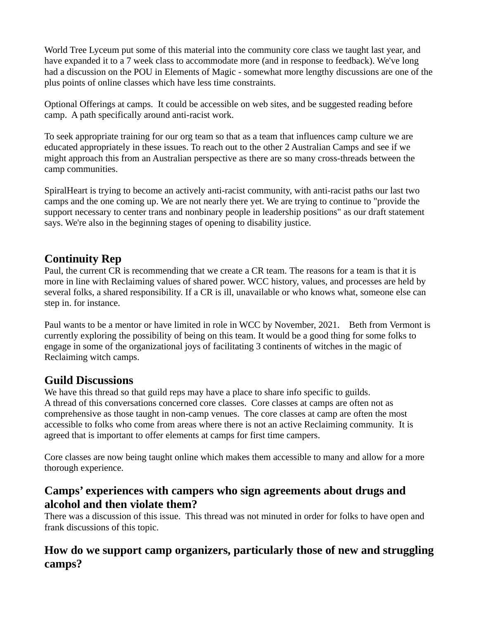World Tree Lyceum put some of this material into the community core class we taught last year, and have expanded it to a 7 week class to accommodate more (and in response to feedback). We've long had a discussion on the POU in Elements of Magic - somewhat more lengthy discussions are one of the plus points of online classes which have less time constraints.

Optional Offerings at camps. It could be accessible on web sites, and be suggested reading before camp. A path specifically around anti-racist work.

To seek appropriate training for our org team so that as a team that influences camp culture we are educated appropriately in these issues. To reach out to the other 2 Australian Camps and see if we might approach this from an Australian perspective as there are so many cross-threads between the camp communities.

SpiralHeart is trying to become an actively anti-racist community, with anti-racist paths our last two camps and the one coming up. We are not nearly there yet. We are trying to continue to "provide the support necessary to center trans and nonbinary people in leadership positions" as our draft statement says. We're also in the beginning stages of opening to disability justice.

## **Continuity Rep**

Paul, the current CR is recommending that we create a CR team. The reasons for a team is that it is more in line with Reclaiming values of shared power. WCC history, values, and processes are held by several folks, a shared responsibility. If a CR is ill, unavailable or who knows what, someone else can step in. for instance.

Paul wants to be a mentor or have limited in role in WCC by November, 2021. Beth from Vermont is currently exploring the possibility of being on this team. It would be a good thing for some folks to engage in some of the organizational joys of facilitating 3 continents of witches in the magic of Reclaiming witch camps.

# **Guild Discussions**

We have this thread so that guild reps may have a place to share info specific to guilds. A thread of this conversations concerned core classes. Core classes at camps are often not as comprehensive as those taught in non-camp venues. The core classes at camp are often the most accessible to folks who come from areas where there is not an active Reclaiming community. It is agreed that is important to offer elements at camps for first time campers.

Core classes are now being taught online which makes them accessible to many and allow for a more thorough experience.

#### **Camps' experiences with campers who sign agreements about drugs and alcohol and then violate them?**

There was a discussion of this issue. This thread was not minuted in order for folks to have open and frank discussions of this topic.

## **How do we support camp organizers, particularly those of new and struggling camps?**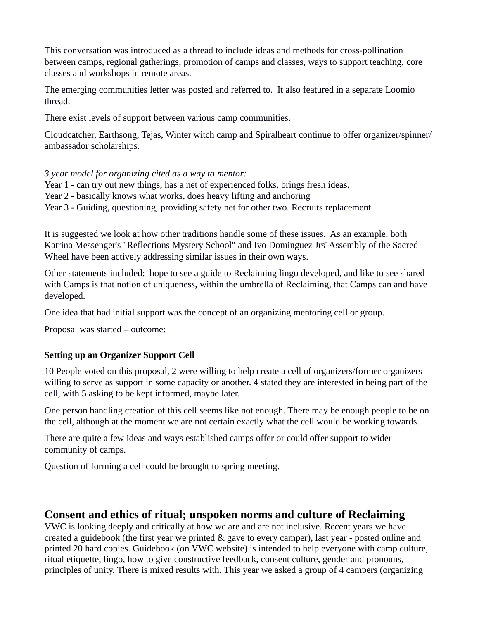This conversation was introduced as a thread to include ideas and methods for cross-pollination between camps, regional gatherings, promotion of camps and classes, ways to support teaching, core classes and workshops in remote areas.

The emerging communities letter was posted and referred to. It also featured in a separate Loomio thread.

There exist levels of support between various camp communities.

Cloudcatcher, Earthsong, Tejas, Winter witch camp and Spiralheart continue to offer organizer/spinner/ ambassador scholarships.

#### *3 year model for organizing cited as a way to mentor:*

- Year 1 can try out new things, has a net of experienced folks, brings fresh ideas.
- Year 2 basically knows what works, does heavy lifting and anchoring
- Year 3 Guiding, questioning, providing safety net for other two. Recruits replacement.

It is suggested we look at how other traditions handle some of these issues. As an example, both Katrina Messenger's "Reflections Mystery School" and Ivo Dominguez Jrs' Assembly of the Sacred Wheel have been actively addressing similar issues in their own ways.

Other statements included: hope to see a guide to Reclaiming lingo developed, and like to see shared with Camps is that notion of uniqueness, within the umbrella of Reclaiming, that Camps can and have developed.

One idea that had initial support was the concept of an organizing mentoring cell or group.

Proposal was started – outcome:

#### **Setting up an Organizer Support Cell**

10 People voted on this proposal, 2 were willing to help create a cell of organizers/former organizers willing to serve as support in some capacity or another. 4 stated they are interested in being part of the cell, with 5 asking to be kept informed, maybe later.

One person handling creation of this cell seems like not enough. There may be enough people to be on the cell, although at the moment we are not certain exactly what the cell would be working towards.

There are quite a few ideas and ways established camps offer or could offer support to wider community of camps.

Question of forming a cell could be brought to spring meeting.

#### **Consent and ethics of ritual; unspoken norms and culture of Reclaiming**

VWC is looking deeply and critically at how we are and are not inclusive. Recent years we have created a guidebook (the first year we printed & gave to every camper), last year - posted online and printed 20 hard copies. Guidebook (on VWC website) is intended to help everyone with camp culture, ritual etiquette, lingo, how to give constructive feedback, consent culture, gender and pronouns, principles of unity. There is mixed results with. This year we asked a group of 4 campers (organizing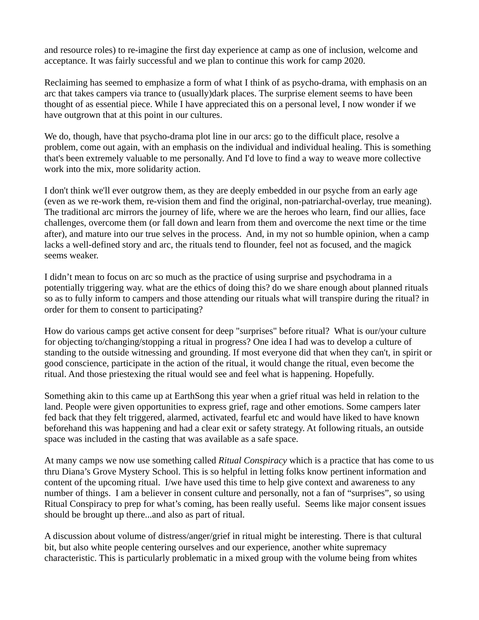and resource roles) to re-imagine the first day experience at camp as one of inclusion, welcome and acceptance. It was fairly successful and we plan to continue this work for camp 2020.

Reclaiming has seemed to emphasize a form of what I think of as psycho-drama, with emphasis on an arc that takes campers via trance to (usually)dark places. The surprise element seems to have been thought of as essential piece. While I have appreciated this on a personal level, I now wonder if we have outgrown that at this point in our cultures.

We do, though, have that psycho-drama plot line in our arcs: go to the difficult place, resolve a problem, come out again, with an emphasis on the individual and individual healing. This is something that's been extremely valuable to me personally. And I'd love to find a way to weave more collective work into the mix, more solidarity action.

I don't think we'll ever outgrow them, as they are deeply embedded in our psyche from an early age (even as we re-work them, re-vision them and find the original, non-patriarchal-overlay, true meaning). The traditional arc mirrors the journey of life, where we are the heroes who learn, find our allies, face challenges, overcome them (or fall down and learn from them and overcome the next time or the time after), and mature into our true selves in the process. And, in my not so humble opinion, when a camp lacks a well-defined story and arc, the rituals tend to flounder, feel not as focused, and the magick seems weaker.

I didn't mean to focus on arc so much as the practice of using surprise and psychodrama in a potentially triggering way. what are the ethics of doing this? do we share enough about planned rituals so as to fully inform to campers and those attending our rituals what will transpire during the ritual? in order for them to consent to participating?

How do various camps get active consent for deep "surprises" before ritual? What is our/your culture for objecting to/changing/stopping a ritual in progress? One idea I had was to develop a culture of standing to the outside witnessing and grounding. If most everyone did that when they can't, in spirit or good conscience, participate in the action of the ritual, it would change the ritual, even become the ritual. And those priestexing the ritual would see and feel what is happening. Hopefully.

Something akin to this came up at EarthSong this year when a grief ritual was held in relation to the land. People were given opportunities to express grief, rage and other emotions. Some campers later fed back that they felt triggered, alarmed, activated, fearful etc and would have liked to have known beforehand this was happening and had a clear exit or safety strategy. At following rituals, an outside space was included in the casting that was available as a safe space.

At many camps we now use something called *Ritual Conspiracy* which is a practice that has come to us thru Diana's Grove Mystery School. This is so helpful in letting folks know pertinent information and content of the upcoming ritual. I/we have used this time to help give context and awareness to any number of things. I am a believer in consent culture and personally, not a fan of "surprises", so using Ritual Conspiracy to prep for what's coming, has been really useful. Seems like major consent issues should be brought up there...and also as part of ritual.

A discussion about volume of distress/anger/grief in ritual might be interesting. There is that cultural bit, but also white people centering ourselves and our experience, another white supremacy characteristic. This is particularly problematic in a mixed group with the volume being from whites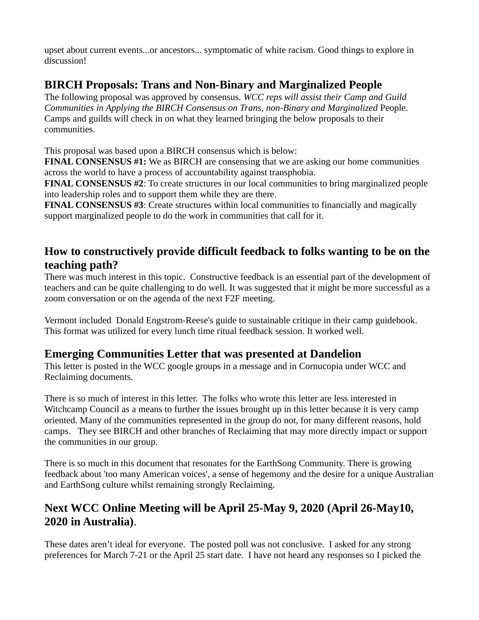upset about current events...or ancestors... symptomatic of white racism. Good things to explore in discussion!

# **BIRCH Proposals: Trans and Non-Binary and Marginalized People**

The following proposal was approved by consensus. *WCC reps will assist their Camp and Guild Communities in Applying the BIRCH Consensus on Trans, non-Binary and Marginalized* People. Camps and guilds will check in on what they learned bringing the below proposals to their communities.

This proposal was based upon a BIRCH consensus which is below:

**FINAL CONSENSUS #1:** We as BIRCH are consensing that we are asking our home communities across the world to have a process of accountability against transphobia.

**FINAL CONSENSUS #2**: To create structures in our local communities to bring marginalized people into leadership roles and to support them while they are there.

**FINAL CONSENSUS #3**: Create structures within local communities to financially and magically support marginalized people to do the work in communities that call for it.

# **How to constructively provide difficult feedback to folks wanting to be on the teaching path?**

There was much interest in this topic. Constructive feedback is an essential part of the development of teachers and can be quite challenging to do well. It was suggested that it might be more successful as a zoom conversation or on the agenda of the next F2F meeting.

Vermont included Donald Engstrom-Reese's guide to sustainable critique in their camp guidebook. This format was utilized for every lunch time ritual feedback session. It worked well.

# **Emerging Communities Letter that was presented at Dandelion**

This letter is posted in the WCC google groups in a message and in Cornucopia under WCC and Reclaiming documents.

There is so much of interest in this letter. The folks who wrote this letter are less interested in Witchcamp Council as a means to further the issues brought up in this letter because it is very camp oriented. Many of the communities represented in the group do not, for many different reasons, hold camps. They see BIRCH and other branches of Reclaiming that may more directly impact or support the communities in our group.

There is so much in this document that resonates for the EarthSong Community. There is growing feedback about 'too many American voices', a sense of hegemony and the desire for a unique Australian and EarthSong culture whilst remaining strongly Reclaiming.

# **Next WCC Online Meeting will be April 25-May 9, 2020 (April 26-May10, 2020 in Australia)**.

These dates aren't ideal for everyone. The posted poll was not conclusive. I asked for any strong preferences for March 7-21 or the April 25 start date. I have not heard any responses so I picked the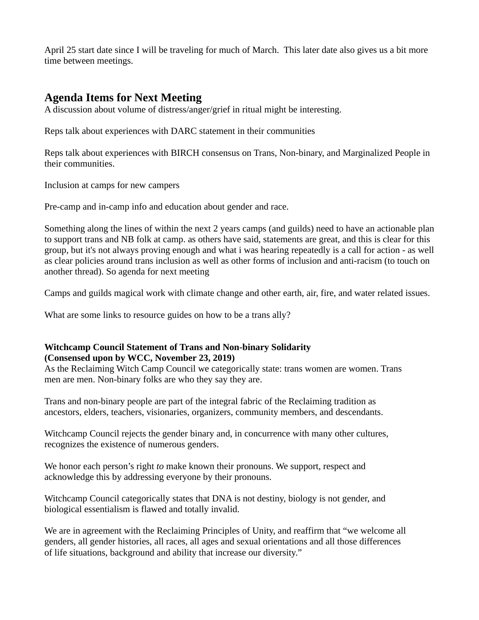April 25 start date since I will be traveling for much of March. This later date also gives us a bit more time between meetings.

#### **Agenda Items for Next Meeting**

A discussion about volume of distress/anger/grief in ritual might be interesting.

Reps talk about experiences with DARC statement in their communities

Reps talk about experiences with BIRCH consensus on Trans, Non-binary, and Marginalized People in their communities.

Inclusion at camps for new campers

Pre-camp and in-camp info and education about gender and race.

Something along the lines of within the next 2 years camps (and guilds) need to have an actionable plan to support trans and NB folk at camp. as others have said, statements are great, and this is clear for this group, but it's not always proving enough and what i was hearing repeatedly is a call for action - as well as clear policies around trans inclusion as well as other forms of inclusion and anti-racism (to touch on another thread). So agenda for next meeting

Camps and guilds magical work with climate change and other earth, air, fire, and water related issues.

What are some links to resource guides on how to be a trans ally?

#### **Witchcamp Council Statement of Trans and Non-binary Solidarity (Consensed upon by WCC, November 23, 2019)**

As the Reclaiming Witch Camp Council we categorically state: trans women are women. Trans men are men. Non-binary folks are who they say they are.

Trans and non-binary people are part of the integral fabric of the Reclaiming tradition as ancestors, elders, teachers, visionaries, organizers, community members, and descendants.

Witchcamp Council rejects the gender binary and, in concurrence with many other cultures, recognizes the existence of numerous genders.

We honor each person's right *to* make known their pronouns. We support, respect and acknowledge this by addressing everyone by their pronouns.

Witchcamp Council categorically states that DNA is not destiny, biology is not gender, and biological essentialism is flawed and totally invalid.

We are in agreement with the Reclaiming Principles of Unity, and reaffirm that "we welcome all genders, all gender histories, all races, all ages and sexual orientations and all those differences of life situations, background and ability that increase our diversity."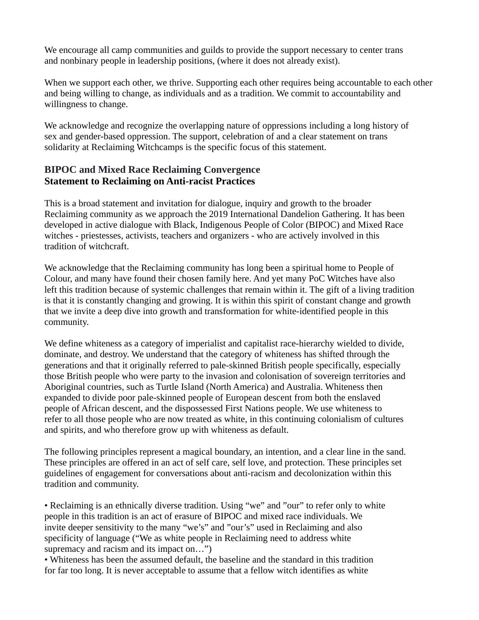We encourage all camp communities and guilds to provide the support necessary to center trans and nonbinary people in leadership positions, (where it does not already exist).

When we support each other, we thrive. Supporting each other requires being accountable to each other and being willing to change, as individuals and as a tradition. We commit to accountability and willingness to change.

We acknowledge and recognize the overlapping nature of oppressions including a long history of sex and gender-based oppression. The support, celebration of and a clear statement on trans solidarity at Reclaiming Witchcamps is the specific focus of this statement.

#### **BIPOC and Mixed Race Reclaiming Convergence Statement to Reclaiming on Anti-racist Practices**

This is a broad statement and invitation for dialogue, inquiry and growth to the broader Reclaiming community as we approach the 2019 International Dandelion Gathering. It has been developed in active dialogue with Black, Indigenous People of Color (BIPOC) and Mixed Race witches - priestesses, activists, teachers and organizers - who are actively involved in this tradition of witchcraft.

We acknowledge that the Reclaiming community has long been a spiritual home to People of Colour, and many have found their chosen family here. And yet many PoC Witches have also left this tradition because of systemic challenges that remain within it. The gift of a living tradition is that it is constantly changing and growing. It is within this spirit of constant change and growth that we invite a deep dive into growth and transformation for white-identified people in this community.

We define whiteness as a category of imperialist and capitalist race-hierarchy wielded to divide, dominate, and destroy. We understand that the category of whiteness has shifted through the generations and that it originally referred to pale-skinned British people specifically, especially those British people who were party to the invasion and colonisation of sovereign territories and Aboriginal countries, such as Turtle Island (North America) and Australia. Whiteness then expanded to divide poor pale-skinned people of European descent from both the enslaved people of African descent, and the dispossessed First Nations people. We use whiteness to refer to all those people who are now treated as white, in this continuing colonialism of cultures and spirits, and who therefore grow up with whiteness as default.

The following principles represent a magical boundary, an intention, and a clear line in the sand. These principles are offered in an act of self care, self love, and protection. These principles set guidelines of engagement for conversations about anti-racism and decolonization within this tradition and community.

• Reclaiming is an ethnically diverse tradition. Using "we" and "our" to refer only to white people in this tradition is an act of erasure of BIPOC and mixed race individuals. We invite deeper sensitivity to the many "we's" and "our's" used in Reclaiming and also specificity of language ("We as white people in Reclaiming need to address white supremacy and racism and its impact on...")

• Whiteness has been the assumed default, the baseline and the standard in this tradition for far too long. It is never acceptable to assume that a fellow witch identifies as white